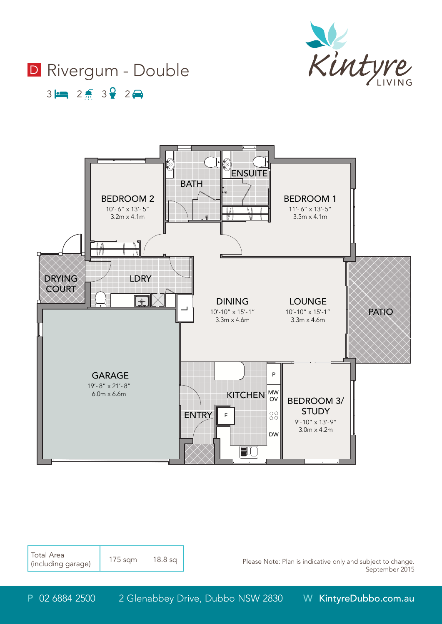

# D Rivergum - Double

 $3 \rightarrow 2 \rightarrow 3$   $2 \rightarrow 2$ 



| <b>Total Area</b><br>I (including garage) | $175$ sqm | $18.8$ sq |
|-------------------------------------------|-----------|-----------|
|-------------------------------------------|-----------|-----------|

Please Note: Plan is indicative only and subject to change. September 2015